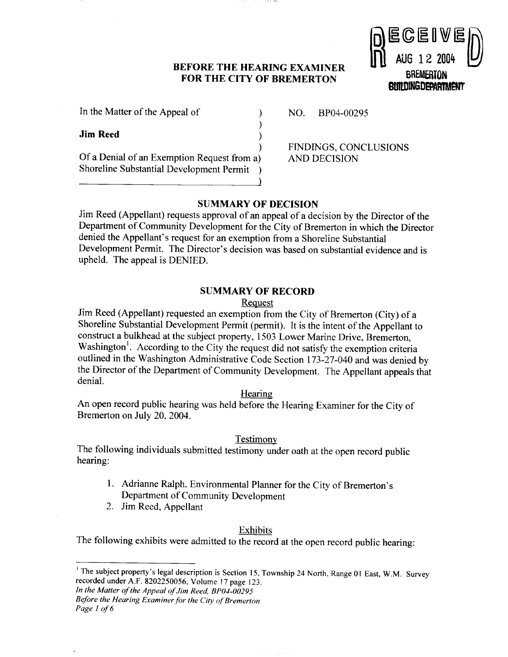### **BEFORE THE HEARING EXAMINER FOR THE CITY OF BREMERTON**

 $)$ 



In the Matter of the Appeal of 1 NO. BP04-00295

**Jim Reed** )

Of a Denial of an Exemption Request from a) AND DECISION Shoreline Substantial Development Permit )

FINDINGS, CONCLUSIONS

# **SUMMARY OF DECISION**

Jim Reed (Appellant) requests approval of an appeal of a decision by the Director of the Department of Community Development for the City of Bremerton in which the Director denied the Appellant's request for an exemption from a Shoreline Substantial Development Permit. The Director's decision was based on substantial evidence and is upheld. The appeal is DENIED.

## **SUMMARY OF RECORD**

## Request

Jim Reed (Appellant) requested an exemption from the City of Bremerton (City) of a Shoreline Substantial Development Permit (permit). It is the intent of the Appellant to construct a bulkhead at the subject property, 1503 Lower Marine Drive, Bremerton, Washington<sup>1</sup>. According to the City the request did not satisfy the exemption criteria outlined in the Washington Administrative Code Section 173-27-040 and was denied by the Director of the Department of Community Development. The Appellant appeals that denial.

### Hearing

An open record public hearing was held before the Hearing Examiner for the City of Bremerton on July 20,2004.

## Testimony

The following individuals submitted testimony under oath at the open record public hearing:

- 1. Adrianne Ralph. Environmental Planner for the City of Bremerton's Department of Community Development
- 2. Jim Reed, Appellant

## Exhibits

The following exhibits were admitted to the record at the open record public hearing:

*in the Matter of the Appeal of Jim Reed, BPOI-00295* 

*Before the Hearing Exuminer,for the City of Bremerton Page I of 6* 

<sup>&</sup>lt;sup>1</sup> The subject property's legal description is Section 15, Township 24 North, Range 01 East, W.M. Survey recorded under A.F. 8202250056, Volume **17** page 123.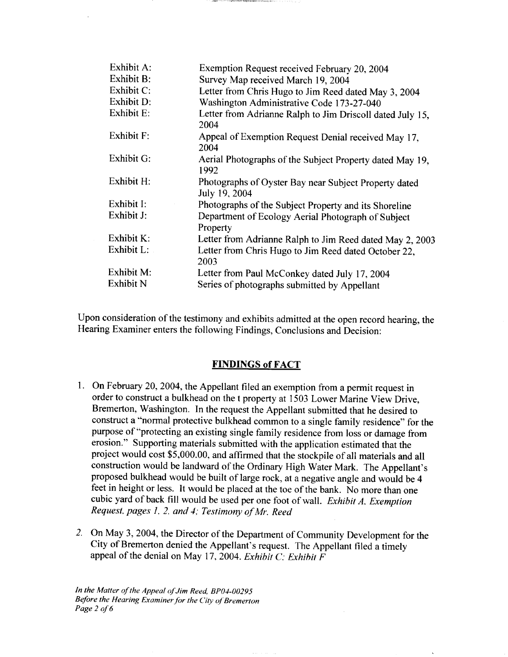| Exhibit A: | Exemption Request received February 20, 2004                           |
|------------|------------------------------------------------------------------------|
| Exhibit B: | Survey Map received March 19, 2004                                     |
| Exhibit C: | Letter from Chris Hugo to Jim Reed dated May 3, 2004                   |
| Exhibit D: | Washington Administrative Code 173-27-040                              |
| Exhibit E: | Letter from Adrianne Ralph to Jim Driscoll dated July 15,<br>2004      |
| Exhibit F: | Appeal of Exemption Request Denial received May 17,<br>2004            |
| Exhibit G: | Aerial Photographs of the Subject Property dated May 19,<br>1992       |
| Exhibit H: | Photographs of Oyster Bay near Subject Property dated<br>July 19, 2004 |
| Exhibit I: | Photographs of the Subject Property and its Shoreline                  |
| Exhibit J: | Department of Ecology Aerial Photograph of Subject<br>Property         |
| Exhibit K: | Letter from Adrianne Ralph to Jim Reed dated May 2, 2003               |
| Exhibit L: | Letter from Chris Hugo to Jim Reed dated October 22,<br>2003           |
| Exhibit M: | Letter from Paul McConkey dated July 17, 2004                          |
| Exhibit N  | Series of photographs submitted by Appellant                           |

Upon consideration of the testimony and exhibits admitted at the open record hearing, the Hearing Examiner enters the following Findings, Conclusions and Decision:

# **FINDINGS of FACT**

- 1. On February 20,2004, the Appellant filed an exemption from a permit request in order to construct a bulkhead on the t property at 1503 Lower Marine View Drive, Bremerton, Washington. In the request the Appellant submitted that he desired to construct a "normal protective bulkhead common to a single family residence" for the purpose of "protecting an existing single family residence from loss or damage from erosion." Supporting materials submitted with the application estimated that the project would cost \$5,000.00, and affirmed that the stockpile of all materials and all construction would be landward of the Ordinary High Water Mark. The Appellant's proposed bulkhead would be built of large rock, at a negative angle and would be **4**  feet in height or less. It would be placed at the toe of the bank. No more than one cubic yard of back fill would be used per one foot of wall. *Exhibit A, Exemption Request, pages* 1, 2. *and* 4; *Testimony of Mr. Reed*
- *2.* On May 3,2004, the Director of the Department of Community Development for the City of Bremerton denied the Appellant's request. The Appellant filed a timely appeal of the denial on May 17, 2004. *Exhibit* C: *Exhibit F*

*In the Matter of the Appeal of Jim Reed, BPOI-00295 Before the Hearing Examiner,for the* City *of Bremerton Page 2 of 6*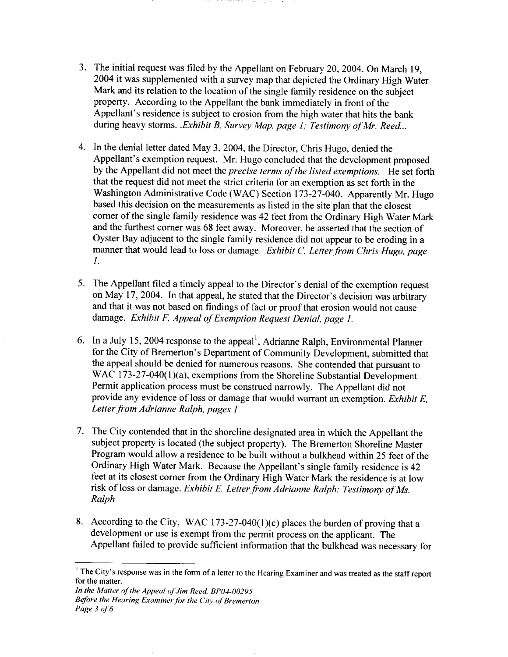- 3. The initial request was filed by the Appellant on February 20, 2004. On March 19, 2004 it was supplemented with a survey map that depicted the Ordinary High Water Mark and its relation to the location of the single family residence on the subject property. According to the Appellant the bank immediately in front of the Appellant's residence is subject to erosion from the high water that hits the bank during heavy storms. *.Exhibit* B, *Survey Map. page I* ; *Testimony qf Mr. Reed..* .
- 4. In the denial letter dated May 3, 2004, the Director, Chris Hugo, denied the Appellant's exemption request. Mr. Hugo concluded that the development proposed by the Appellant did not meet the *precise terms* of *the listed exemptions.* He set forth that the request did not meet the strict criteria for an exemption as set forth in the Washington Administrative Code (WAC) Section 173-27-040. Apparently Mr. Hugo based this decision on the measurements as listed in the site plan that the closest corner of the single family residence was 42 feet from the Ordinary High Water Mark and the furthest corner was 68 feet away. Moreover, he asserted that the section of Oyster Bay adjacent to the single family residence did not appear to be eroding in a manner that would lead to loss or damage. *Exhibit C. Letter from Chris Hugo, page 1.*
- 5. The Appellant filed a timely appeal to the Director's denial of the exemption request on May 17,2004. In that appeal, he stated that the Director's decision was arbitrary and that it was not based on findings of fact or proof that erosion would not cause damage. *Exhibit F, Appeal of Exemption Request Denial, page I.*
- 6. In a July 15, 2004 response to the appeal<sup>1</sup>, Adrianne Ralph, Environmental Planner for the City of Bremerton's Department of Community Development, submitted that the appeal should be denied for numerous reasons. She contended that pursuant to WAC 173-27-040(1)(a), exemptions from the Shoreline Substantial Development Permit application process must be construed narrowly. The Appellant did not provide any evidence of loss or damage that would warrant an exemption. *Exhibit E, Letter,from Adrianne Ralph, pages I*
- The City contended that in the shoreline designated area in which the Appellant the subject property is located (the subject property). The Bremerton Shoreline Master Program would allow a residence to be built without a bulkhead within 25 feet of the Ordinary High Water Mark. Because the Appellant's single family residence is 42 feet at its closest comer from the Ordinary High Water Mark the residence is at low risk of loss or damage. *Exhibit E. Letter from Adrianne Ralph: Testimony of Ms. Ralph*
- 8. According to the City, WAC 173-27-040(1)(c) places the burden of proving that a development or use is exempt from the permit process on the applicant. The Appellant failed to provide sufficient information that the bulkhead was necessary for

**I The City's response was in the form** of **a letter to the Hearing Examiner and was treated as the staff report for the matter.**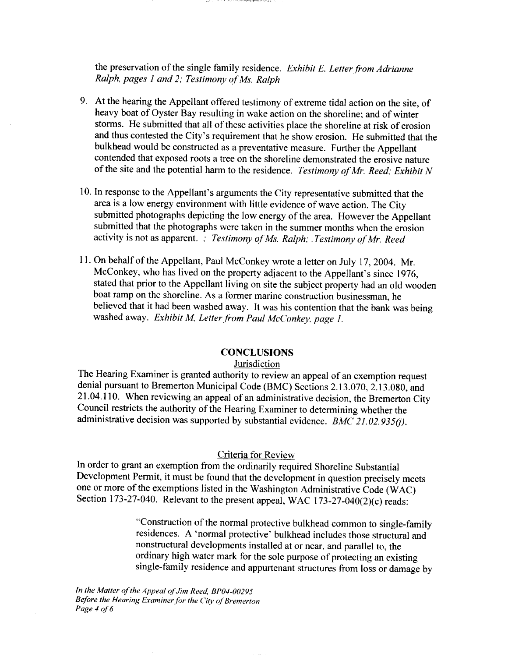the preservation of the single family residence. *Exhibit E. Letter,from Adrianne Ralph, pages I and 2; Testimony* of *Ms. Ralph* 

- 9. At the hearing the Appellant offered testimony of extreme tidal action on the site, of heavy boat of Oyster Bay resulting in wake action on the shoreline; and of winter storms. He submitted that all of these activities place the shoreline at risk of erosion and thus contested the City's requirement that he show erosion. He submitted that the bulkhead would be constructed as a preventative measure. Further the Appellant contended that exposed roots a tree on the shoreline demonstrated the erosive nature of the site and the potential harm to the residence. *Testimony qf'Mr. Reed; Exhibit N*
- 10. In response to the Appellant's arguments the City representative submitted that the area is a low energy environment with little evidence of wave action. The City submitted photographs depicting the low energy of the area. However the Appellant submitted that the photographs were taken in the summer months when the erosion activity is not as apparent. : *Testimony of Ms. Ralph: . Testimony of Mr. Reed*
- 11. On behalf of the Appellant, Paul McConkey wrote a letter on July 17,2004. Mr. McConkey, who has lived on the property adjacent to the Appellant's since 1976, stated that prior to the Appellant living on site the subject property had an old wooden boat ramp on the shoreline. As a former marine construction businessman, he believed that it had been washed away. It was his contention that the bank was being washed away. *Exhibit M, Letter from Paul McConkey, page 1.*

### **CONCLUSIONS**

### **Jurisdiction**

The Hearing Examiner is granted authority to review an appeal of an exemption request denial pursuant to Bremerton Municipal Code (BMC) Sections 2.13.070, 2.13.080, and 21.04.1 10. When reviewing an appeal of an administrative decision, the Bremerton City Council restricts the authority of the Hearing Examiner to determining whether the administrative decision was supported by substantial evidence. *BMC' 21.02.935(j).* 

#### Criteria for Review

In order to grant an exemption from the ordinarily required Shoreline Substantial Development Permit, it must be found that the development in question precisely meets one or more of the exemptions listed in the Washington Administrative Code (WAC) Section 173-27-040. Relevant to the present appeal, WAC 173-27-040(2)(c) reads:

> "Construction of the normal protective bulkhead common to single-family residences. A 'normal protective' bulkhead includes those structural and nonstructural developments installed at or near, and parallel to, the ordinary high water mark for the sole purpose of protecting an existing single-family residence and appurtenant structures from loss or damage by

**In the Matter of the Appeal ofJim Reed, BPOI-00295 Before the Hearing Exuminer.for the City of Bremerton**  *Page* **4** *of* 6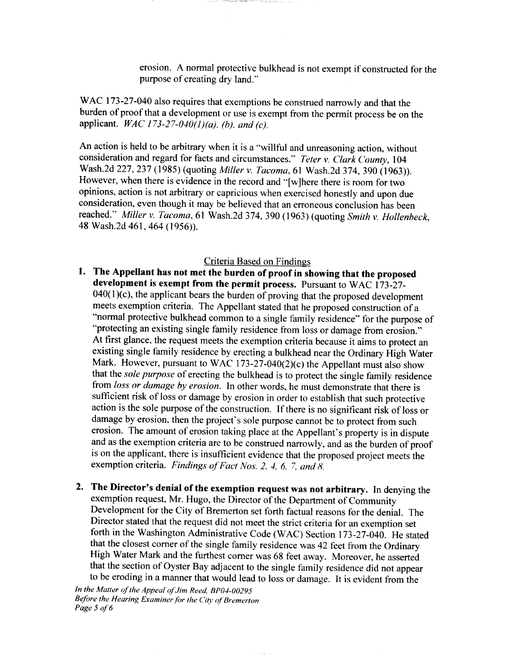erosion. A normal protective bulkhead is not exempt if constructed for the purpose of creating dry land."

WAC 173-27-040 also requires that exemptions be construed narrowly and that the burden of proof that a development or use is exempt from the permit process be on the applicant. WAC *173-27-040(l)(a),* (b), *and (c).* 

international group

An action is held to be arbitrary when it is a "willful and unreasoning action, without consideration and regard for facts and circumstances." *Teter* v. *Clark C'ounty,* 104 Wash.2d 227,237 (1985) (quoting *Miller* v. *Tacoma,* 61 Wash.2d 374, 390 (1963)). However, when there is evidence in the record and "[wlhere there is room for two opinions, action is not arbitrary or capricious when exercised honestly and upon due consideration, even though it may be believed that an erroneous conclusion has been reached." *Miller* v. *Tacoma,* 61 Wash.2d 374,390 (1963) (quoting **Smith** v. *Hollenbeck,*  48 Wash.2d 461, 464 (1956)).

## Criteria Based on Findings

- **1. The Appellant has not met the burden of proof in showing that the proposed development is exempt from the permit process.** Pursuant to WAC 173-27-  $040(1)$ (c), the applicant bears the burden of proving that the proposed development meets exemption criteria. The Appellant stated that he proposed construction of a "normal protective bulkhead common to a single family residence" for the purpose of "protecting an existing single family residence from loss or damage from erosion." At first glance, the request meets the exemption criteria because it aims to protect an existing single family residence by erecting a bulkhead near the Ordinary High Water Mark. However, pursuant to WAC 173-27-040(2)(c) the Appellant must also show that the *sole purpose* of erecting the bulkhead is to protect the single family residence from *loss or dumage by erosion.* In other words, he must demonstrate that there is sufficient risk of loss or damage by erosion in order to establish that such protective action is the sole purpose of the construction. If there is no significant risk of loss or damage by erosion, then the project's sole purpose cannot be to protect from such erosion. The amount of erosion taking place at the Appellant's property is in dispute and as the exemption criteria are to be construed narrowly, and as the burden of proof is on the applicant. there is insufficient evidence that the proposed project meets the exemption criteria. *Findings of Fact Nos. 2, 4, 6, 7, and 8.*
- **2. The Director's denial of the exemption request was not arbitrary.** In denying the exemption request, Mr. Hugo, the Director of the Department of Community Development for the City of Bremerton set forth factual reasons for the denial. The Director stated that the request did not meet the strict criteria for an exemption set forth in the Washington Administrative Code (WAC) Section 173-27-040. He stated that the closest corner of the single family residence was 42 feet from the Ordinary High Water Mark and the furthest corner was 68 feet away. Moreover, he asserted that the section of Oyster Bay adjacent to the single family residence did not appear to be eroding in a manner that would lead to loss or damage. It is evident from the

*In* **the Matter** of **the Appeul** of *Jim* **Reed, BPOI-00295 Before the Hearing Examiner for** *the* **Ciw of'Bremerton Page 5 of 6**